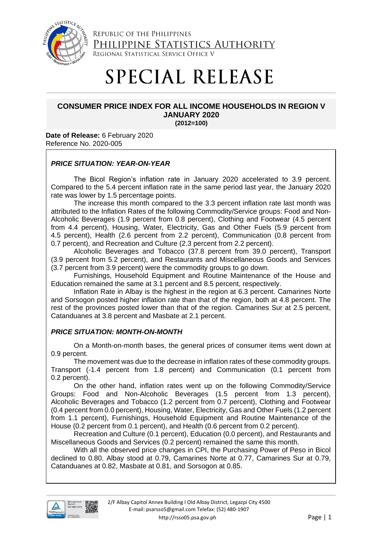

REPUBLIC OF THE PHILIPPINES PHILIPPINE STATISTICS AUTHORITY REGIONAL STATISTICAL SERVICE OFFICE V

# **SPECIAL RELEASE**

# **CONSUMER PRICE INDEX FOR ALL INCOME HOUSEHOLDS IN REGION V JANUARY 2020**

**(2012=100)**

**Date of Release:** 6 February 2020 Reference No. 2020-005

## *PRICE SITUATION: YEAR-ON-YEAR*

The Bicol Region's inflation rate in January 2020 accelerated to 3.9 percent. Compared to the 5.4 percent inflation rate in the same period last year, the January 2020 rate was lower by 1.5 percentage points.

The increase this month compared to the 3.3 percent inflation rate last month was attributed to the Inflation Rates of the following Commodity/Service groups: Food and Non-Alcoholic Beverages (1.9 percent from 0.8 percent), Clothing and Footwear (4.5 percent from 4.4 percent), Housing, Water, Electricity, Gas and Other Fuels (5.9 percent from 4.5 percent), Health (2.6 percent from 2.2 percent), Communication (0.8 percent from 0.7 percent), and Recreation and Culture (2.3 percent from 2.2 percent).

Alcoholic Beverages and Tobacco (37.8 percent from 39.0 percent), Transport (3.9 percent from 5.2 percent), and Restaurants and Miscellaneous Goods and Services (3.7 percent from 3.9 percent) were the commodity groups to go down.

Furnishings, Household Equipment and Routine Maintenance of the House and Education remained the same at 3.1 percent and 8.5 percent, respectively.

Inflation Rate in Albay is the highest in the region at 6.3 percent. Camarines Norte and Sorsogon posted higher inflation rate than that of the region, both at 4.8 percent. The rest of the provinces posted lower than that of the region. Camarines Sur at 2.5 percent, Catanduanes at 3.8 percent and Masbate at 2.1 percent.

## *PRICE SITUATION: MONTH-ON-MONTH*

On a Month-on-month bases, the general prices of consumer items went down at 0.9 percent.

The movement was due to the decrease in inflation rates of these commodity groups. Transport (-1.4 percent from 1.8 percent) and Communication (0.1 percent from 0.2 percent).

On the other hand, inflation rates went up on the following Commodity/Service Groups: Food and Non-Alcoholic Beverages (1.5 percent from 1.3 percent), Alcoholic Beverages and Tobacco (1.2 percent from 0.7 percent), Clothing and Footwear (0.4 percent from 0.0 percent), Housing, Water, Electricity, Gas and Other Fuels (1.2 percent from 1.1 percent), Furnishings, Household Equipment and Routine Maintenance of the House (0.2 percent from 0.1 percent), and Health (0.6 percent from 0.2 percent).

Recreation and Culture (0.1 percent), Education (0.0 percent), and Restaurants and Miscellaneous Goods and Services (0.2 percent) remained the same this month.

With all the observed price changes in CPI, the Purchasing Power of Peso in Bicol declined to 0.80. Albay stood at 0.79, Camarines Norte at 0.77, Camarines Sur at 0.79, Catanduanes at 0.82, Masbate at 0.81, and Sorsogon at 0.85.

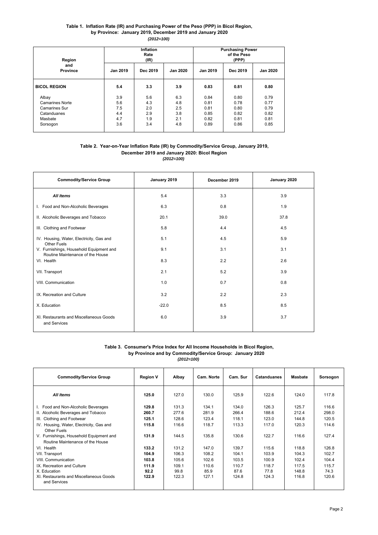#### **Table 1. Inflation Rate (IR) and Purchasing Power of the Peso (PPP) in Bicol Region, by Province: January 2019, December 2019 and January 2020** *(2012=100)*

| Region<br>and<br><b>Province</b> |          | Inflation<br>Rate<br>(IR) |          |                 | <b>Purchasing Power</b><br>of the Peso<br>(PPP) |                 |  |  |
|----------------------------------|----------|---------------------------|----------|-----------------|-------------------------------------------------|-----------------|--|--|
|                                  | Jan 2019 | Dec 2019                  | Jan 2020 | <b>Jan 2019</b> | Dec 2019                                        | <b>Jan 2020</b> |  |  |
| <b>BICOL REGION</b>              | 5.4      | 3.3                       | 3.9      | 0.83            | 0.81                                            | 0.80            |  |  |
| Albay                            | 3.9      | 5.6                       | 6.3      | 0.84            | 0.80                                            | 0.79            |  |  |
| <b>Camarines Norte</b>           | 5.6      | 4.3                       | 4.8      | 0.81            | 0.78                                            | 0.77            |  |  |
| <b>Camarines Sur</b>             | 7.5      | 2.0                       | 2.5      | 0.81            | 0.80                                            | 0.79            |  |  |
| Catanduanes                      | 4.4      | 2.9                       | 3.8      | 0.85            | 0.82                                            | 0.82            |  |  |
| Masbate                          | 4.7      | 1.9                       | 2.1      | 0.82            | 0.81                                            | 0.81            |  |  |
| Sorsogon                         | 3.6      | 3.4                       | 4.8      | 0.89            | 0.86                                            | 0.85            |  |  |

#### **Table 2. Year-on-Year Inflation Rate (IR) by Commodity/Service Group, January 2019, December 2019 and January 2020: Bicol Region** *(2012=100)*

| <b>Commodity/Service Group</b>                                              | January 2019 | December 2019 | January 2020 |  |
|-----------------------------------------------------------------------------|--------------|---------------|--------------|--|
| All Items                                                                   | 5.4          | 3.3           | 3.9          |  |
| I. Food and Non-Alcoholic Beverages                                         | 6.3          | 0.8           | 1.9          |  |
| II. Alcoholic Beverages and Tobacco                                         | 20.1         | 39.0          | 37.8         |  |
| III. Clothing and Footwear                                                  | 5.8          | 4.4           | 4.5          |  |
| IV. Housing, Water, Electricity, Gas and<br>Other Fuels                     | 5.1          | 4.5           | 5.9          |  |
| V. Furnishings, Household Equipment and<br>Routine Maintenance of the House | 9.1          | 3.1           | 3.1          |  |
| VI. Health                                                                  | 8.3          | 2.2           | 2.6          |  |
| VII. Transport                                                              | 2.1          | 5.2           | 3.9          |  |
| VIII. Communication                                                         | 1.0          | 0.7           | 0.8          |  |
| IX. Recreation and Culture                                                  | 3.2          | 2.2           | 2.3          |  |
| X. Education                                                                | $-22.0$      | 8.5           | 8.5          |  |
| XI. Restaurants and Miscellaneous Goods<br>and Services                     | 6.0          | 3.9           | 3.7          |  |

#### **Table 3. Consumer's Price Index for All Income Households in Bicol Region, by Province and by Commodity/Service Group: January 2020** *(2012=100)*

| <b>Commodity/Service Group</b>                                              | <b>Region V</b> | Albay         | Cam. Norte    | Cam. Sur      | Catanduanes   | <b>Masbate</b> | Sorsogon      |
|-----------------------------------------------------------------------------|-----------------|---------------|---------------|---------------|---------------|----------------|---------------|
| <b>All Items</b>                                                            | 125.0           | 127.0         | 130.0         | 125.9         | 122.6         | 124.0          | 117.8         |
| Food and Non-Alcoholic Beverages<br>Ι.                                      | 129.8           | 131.3         | 134.1         | 134.0         | 126.3         | 125.7          | 116.6         |
| II. Alcoholic Beverages and Tobacco                                         | 260.7           | 277.6         | 281.9         | 266.4         | 188.6         | 212.4          | 298.0         |
| III. Clothing and Footwear                                                  | 125.1           | 128.6         | 123.4         | 118.1         | 123.0         | 144.8          | 120.5         |
| IV. Housing, Water, Electricity, Gas and<br>Other Fuels                     | 115.8           | 116.6         | 118.7         | 113.3         | 117.0         | 120.3          | 114.6         |
| V. Furnishings, Household Equipment and<br>Routine Maintenance of the House | 131.9           | 144.5         | 135.8         | 130.6         | 122.7         | 116.6          | 127.4         |
| VI. Health                                                                  | 133.2           | 131.2         | 147.0         | 139.7         | 115.6         | 118.8          | 126.8         |
| VII. Transport                                                              | 104.9           | 106.3         | 108.2         | 104.1         | 103.9         | 104.3          | 102.7         |
| VIII. Communication                                                         | 103.8           | 105.6         | 102.6         | 103.5         | 100.9         | 102.4          | 104.4         |
| IX Recreation and Culture<br>X. Education                                   | 111.9<br>92.2   | 109.1<br>99.8 | 110.6<br>85.9 | 110.7<br>87.6 | 118.7<br>77.8 | 117.5<br>148.8 | 115.7<br>74.3 |
| XI. Restaurants and Miscellaneous Goods<br>and Services                     | 122.9           | 122.3         | 127.1         | 124.8         | 124.3         | 116.8          | 120.6         |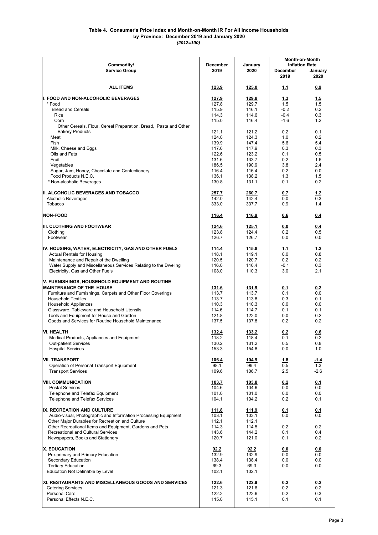#### *(2012=100)* **by Province: December 2019 and January 2020 Table 4. Consumer's Price Index and Month-on-Month IR For All Income Households**

| Commodity/                                                                                       | <b>December</b>       | January               | <b>Month-on-Month</b><br><b>Inflation Rate</b> |             |  |
|--------------------------------------------------------------------------------------------------|-----------------------|-----------------------|------------------------------------------------|-------------|--|
| <b>Service Group</b>                                                                             | 2019                  | 2020                  | December                                       | January     |  |
|                                                                                                  |                       |                       | 2019                                           | 2020        |  |
| <b>ALL ITEMS</b>                                                                                 | 123.9                 | 125.0                 | 1.1                                            | 0.9         |  |
| I. FOOD AND NON-ALCOHOLIC BEVERAGES                                                              | 127.9                 | 129.8                 | 1.3                                            | 1.5         |  |
| * Food                                                                                           | 127.8                 | 129.7                 | 1.5<br>$-0.2$                                  | 1.5         |  |
| <b>Bread and Cereals</b><br>Rice                                                                 | 115.9<br>114.3        | 116.1<br>114.6        | $-0.4$                                         | 0.2<br>0.3  |  |
| Corn                                                                                             | 115.0                 | 116.4                 | $-1.6$                                         | 1.2         |  |
| Other Cereals, Flour, Cereal Preparation, Bread, Pasta and Other                                 |                       |                       |                                                |             |  |
| <b>Bakery Products</b>                                                                           | 121.1                 | 121.2                 | 0.2                                            | 0.1         |  |
| Meat<br>Fish                                                                                     | 124.0<br>139.9        | 124.3<br>147.4        | 1.0<br>5.6                                     | 0.2<br>5.4  |  |
| Milk, Cheese and Eggs                                                                            | 117.6                 | 117.9                 | 0.3                                            | 0.3         |  |
| Oils and Fats                                                                                    | 122.6                 | 123.2                 | 0.1                                            | 0.5         |  |
| Fruit                                                                                            | 131.6                 | 133.7                 | 0.2                                            | 1.6         |  |
| Vegetables                                                                                       | 186.5                 | 190.9                 | 3.8                                            | 2.4         |  |
| Sugar, Jam, Honey, Chocolate and Confectionery<br>Food Products N.E.C.                           | 116.4<br>136.1        | 116.4<br>138.2        | 0.2<br>1.3                                     | 0.0<br>1.5  |  |
| * Non-alcoholic Beverages                                                                        | 130.8                 | 131.1                 | 0.1                                            | 0.2         |  |
|                                                                                                  |                       |                       |                                                |             |  |
| <b>II. ALCOHOLIC BEVERAGES AND TOBACCO</b>                                                       | 257.7                 | 260.7                 | 0.7                                            | 1.2         |  |
| Alcoholic Beverages                                                                              | 142.0                 | 142.4                 | 0.0                                            | 0.3         |  |
| Tobacco                                                                                          | 333.0                 | 337.7                 | 0.9                                            | 1.4         |  |
| <b>NON-FOOD</b>                                                                                  | 116.4                 | <u>116.9</u>          | 0.6                                            | 0.4         |  |
| <b>III. CLOTHING AND FOOTWEAR</b>                                                                | 124.6                 | 125.1                 | 0.0                                            | 0.4         |  |
| Clothina                                                                                         | 123.8                 | 124.4                 | 0.2                                            | 0.5         |  |
| Footwear                                                                                         | 126.7                 | 126.7                 | 0.0                                            | 0.0         |  |
|                                                                                                  |                       |                       |                                                |             |  |
| IV. HOUSING, WATER, ELECTRICITY, GAS AND OTHER FUELS<br><b>Actual Rentals for Housing</b>        | 114.4<br>118.1        | 115.8<br>119.1        | 1.1<br>0.0                                     | 1.2<br>0.8  |  |
| Maintenance and Repair of the Dwelling                                                           | 120.5                 | 120.7                 | 0.2                                            | 0.2         |  |
| Water Supply and Miscellaneous Services Relating to the Dweling                                  | 116.0                 | 116.4                 | $-0.1$                                         | 0.3         |  |
| Electricity, Gas and Other Fuels                                                                 | 108.0                 | 110.3                 | 3.0                                            | 2.1         |  |
| V. FURNISHINGS, HOUSEHOLD EQUIPMENT AND ROUTINE<br><b>MAINTENANCE OF THE HOUSE</b>               | 131.6                 | 131.9                 | 0.1                                            | 0.2         |  |
| Furniture and Furnishings, Carpets and Other Floor Coverings                                     | 113.7                 | 113.7                 | 0.1                                            | 0.0         |  |
| <b>Household Textiles</b>                                                                        | 113.7                 | 113.8                 | 0.3                                            | 0.1         |  |
| <b>Household Appliances</b>                                                                      | 110.3                 | 110.3                 | 0.0                                            | 0.0         |  |
| Glassware, Tableware and Household Utensils                                                      | 114.6                 | 114.7                 | 0.1                                            | 0.1         |  |
| Tools and Equipment for House and Garden<br>Goods and Services for Routine Household Maintenance | 121.8<br>137.5        | 122.0<br>137.8        | 0.0<br>0.2                                     | 0.2<br>0.2  |  |
|                                                                                                  |                       |                       |                                                |             |  |
| <b>VI. HEALTH</b>                                                                                | 132.4                 | 133.2                 | 0.2                                            | <u>0.6</u>  |  |
| Medical Products, Appliances and Equipment                                                       | 118.2                 | 118.4                 | 0.1                                            | 0.2         |  |
| Out-patient Services                                                                             | 130.2<br>153.3        | 131.2<br>154.8        | 0.5                                            | 0.8<br>1.0  |  |
| <b>Hospital Services</b>                                                                         |                       |                       | 0.0                                            |             |  |
| <b>VII. TRANSPORT</b>                                                                            | 106.4                 | 104.9                 | 1.8                                            | <u>-1.4</u> |  |
| Operation of Personal Transport Equipment                                                        | 98.1                  | 99.4                  | 0.5                                            | 1.3         |  |
| <b>Transport Services</b>                                                                        | 109.6                 | 106.7                 | 2.5                                            | $-2.6$      |  |
| <b>VIII. COMMUNICATION</b>                                                                       | 103.7                 | 103.8                 |                                                |             |  |
| <b>Postal Services</b>                                                                           | 104.6                 | 104.6                 | 0.2<br>0.0                                     | 0.1<br>0.0  |  |
| Telephone and Telefax Equipment                                                                  | 101.0                 | 101.0                 | 0.0                                            | 0.0         |  |
| <b>Telephone and Telefax Services</b>                                                            | 104.1                 | 104.2                 | 0.2                                            | 0.1         |  |
|                                                                                                  |                       |                       |                                                |             |  |
| IX. RECREATION AND CULTURE<br>Audio-visual, Photographic and Information Processing Equipment    | <u>111.8</u><br>103.1 | <u>111.9</u><br>103.1 | 0.1<br>0.0                                     | 0.1<br>0.0  |  |
| Other Major Durables for Recreation and Culture                                                  | 112.1                 | 112.1                 |                                                |             |  |
| Other Recreational Items and Equipment, Gardens and Pets                                         | 114.3                 | 114.5                 | 0.2                                            | 0.2         |  |
| Recreational and Cultural Services                                                               | 143.6                 | 144.2                 | 0.1                                            | 0.4         |  |
| Newspapers, Books and Stationery                                                                 | 120.7                 | 121.0                 | 0.1                                            | 0.2         |  |
| <b>X. EDUCATION</b>                                                                              | 92.2                  | 92.2                  | 0.0                                            | 0.0         |  |
| Pre-primary and Primary Education                                                                | 132.9                 | 132.9                 | 0.0                                            | 0.0         |  |
| Secondary Education                                                                              | 138.4                 | 138.4                 | 0.0                                            | 0.0         |  |
| <b>Tertiary Education</b>                                                                        | 69.3                  | 69.3                  | 0.0                                            | 0.0         |  |
| Education Not Definable by Level                                                                 | 102.1                 | 102.1                 |                                                |             |  |
| XI. RESTAURANTS AND MISCELLANEOUS GOODS AND SERVICES                                             | 122.6                 | 122.9                 | 0.2                                            | 0.2         |  |
| <b>Catering Services</b>                                                                         | 121.3                 | 121.6                 | 0.2                                            | 0.2         |  |
| Personal Care                                                                                    | 122.2                 | 122.6                 | 0.2                                            | 0.3         |  |
| Personal Effects N.E.C.                                                                          | 115.0                 | 115.1                 | 0.1                                            | 0.1         |  |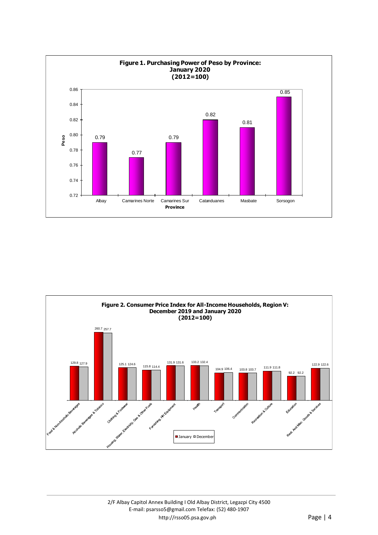